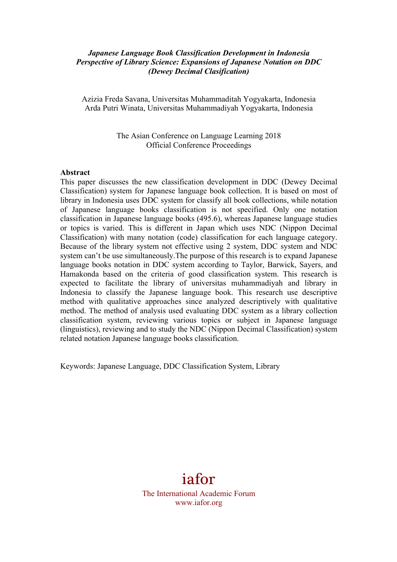### *Japanese Language Book Classification Development in Indonesia Perspective of Library Science: Expansions of Japanese Notation on DDC (Dewey Decimal Clasification)*

Azizia Freda Savana, Universitas Muhammaditah Yogyakarta, Indonesia Arda Putri Winata, Universitas Muhammadiyah Yogyakarta, Indonesia

> The Asian Conference on Language Learning 2018 Official Conference Proceedings

#### **Abstract**

This paper discusses the new classification development in DDC (Dewey Decimal Classification) system for Japanese language book collection. It is based on most of library in Indonesia uses DDC system for classify all book collections, while notation of Japanese language books classification is not specified. Only one notation classification in Japanese language books (495.6), whereas Japanese language studies or topics is varied. This is different in Japan which uses NDC (Nippon Decimal Classification) with many notation (code) classification for each language category. Because of the library system not effective using 2 system, DDC system and NDC system can't be use simultaneously.The purpose of this research is to expand Japanese language books notation in DDC system according to Taylor, Barwick, Sayers, and Hamakonda based on the criteria of good classification system. This research is expected to facilitate the library of universitas muhammadiyah and library in Indonesia to classify the Japanese language book. This research use descriptive method with qualitative approaches since analyzed descriptively with qualitative method. The method of analysis used evaluating DDC system as a library collection classification system, reviewing various topics or subject in Japanese language (linguistics), reviewing and to study the NDC (Nippon Decimal Classification) system related notation Japanese language books classification.

Keywords: Japanese Language, DDC Classification System, Library

# iafor

The International Academic Forum www.iafor.org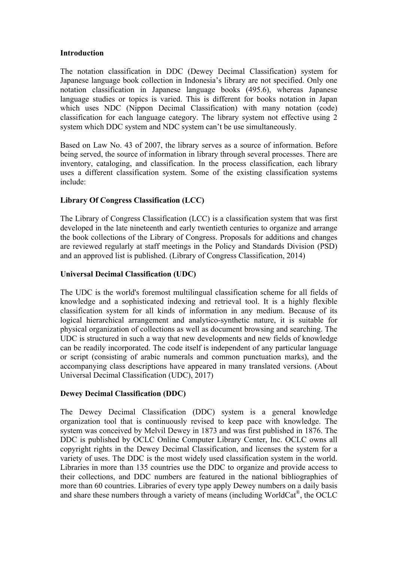### **Introduction**

The notation classification in DDC (Dewey Decimal Classification) system for Japanese language book collection in Indonesia's library are not specified. Only one notation classification in Japanese language books (495.6), whereas Japanese language studies or topics is varied. This is different for books notation in Japan which uses NDC (Nippon Decimal Classification) with many notation (code) classification for each language category. The library system not effective using 2 system which DDC system and NDC system can't be use simultaneously.

Based on Law No. 43 of 2007, the library serves as a source of information. Before being served, the source of information in library through several processes. There are inventory, cataloging, and classification. In the process classification, each library uses a different classification system. Some of the existing classification systems include:

# **Library Of Congress Classification (LCC)**

The Library of Congress Classification (LCC) is a classification system that was first developed in the late nineteenth and early twentieth centuries to organize and arrange the book collections of the Library of Congress. Proposals for additions and changes are reviewed regularly at staff meetings in the Policy and Standards Division (PSD) and an approved list is published. (Library of Congress Classification, 2014)

# **Universal Decimal Classification (UDC)**

The UDC is the world's foremost multilingual classification scheme for all fields of knowledge and a sophisticated indexing and retrieval tool. It is a highly flexible classification system for all kinds of information in any medium. Because of its logical hierarchical arrangement and analytico-synthetic nature, it is suitable for physical organization of collections as well as document browsing and searching. The UDC is structured in such a way that new developments and new fields of knowledge can be readily incorporated. The code itself is independent of any particular language or script (consisting of arabic numerals and common punctuation marks), and the accompanying class descriptions have appeared in many translated versions. (About Universal Decimal Classification (UDC), 2017)

# **Dewey Decimal Classification (DDC)**

The Dewey Decimal Classification (DDC) system is a general knowledge organization tool that is continuously revised to keep pace with knowledge. The system was conceived by Melvil Dewey in 1873 and was first published in 1876. The DDC is published by OCLC Online Computer Library Center, Inc. OCLC owns all copyright rights in the Dewey Decimal Classification, and licenses the system for a variety of uses. The DDC is the most widely used classification system in the world. Libraries in more than 135 countries use the DDC to organize and provide access to their collections, and DDC numbers are featured in the national bibliographies of more than 60 countries. Libraries of every type apply Dewey numbers on a daily basis and share these numbers through a variety of means (including WorldCat®, the OCLC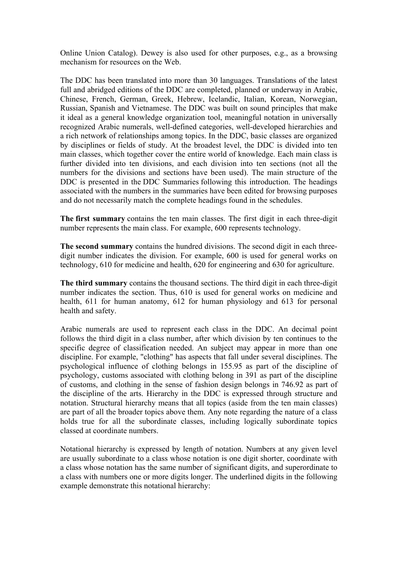Online Union Catalog). Dewey is also used for other purposes, e.g., as a browsing mechanism for resources on the Web.

The DDC has been translated into more than 30 languages. Translations of the latest full and abridged editions of the DDC are completed, planned or underway in Arabic, Chinese, French, German, Greek, Hebrew, Icelandic, Italian, Korean, Norwegian, Russian, Spanish and Vietnamese. The DDC was built on sound principles that make it ideal as a general knowledge organization tool, meaningful notation in universally recognized Arabic numerals, well-defined categories, well-developed hierarchies and a rich network of relationships among topics. In the DDC, basic classes are organized by disciplines or fields of study. At the broadest level, the DDC is divided into ten main classes, which together cover the entire world of knowledge. Each main class is further divided into ten divisions, and each division into ten sections (not all the numbers for the divisions and sections have been used). The main structure of the DDC is presented in the DDC Summaries following this introduction. The headings associated with the numbers in the summaries have been edited for browsing purposes and do not necessarily match the complete headings found in the schedules.

**The first summary** contains the ten main classes. The first digit in each three-digit number represents the main class. For example, 600 represents technology.

**The second summary** contains the hundred divisions. The second digit in each threedigit number indicates the division. For example, 600 is used for general works on technology, 610 for medicine and health, 620 for engineering and 630 for agriculture.

**The third summary** contains the thousand sections. The third digit in each three-digit number indicates the section. Thus, 610 is used for general works on medicine and health, 611 for human anatomy, 612 for human physiology and 613 for personal health and safety.

Arabic numerals are used to represent each class in the DDC. An decimal point follows the third digit in a class number, after which division by ten continues to the specific degree of classification needed. An subject may appear in more than one discipline. For example, "clothing" has aspects that fall under several disciplines. The psychological influence of clothing belongs in 155.95 as part of the discipline of psychology, customs associated with clothing belong in 391 as part of the discipline of customs, and clothing in the sense of fashion design belongs in 746.92 as part of the discipline of the arts. Hierarchy in the DDC is expressed through structure and notation. Structural hierarchy means that all topics (aside from the ten main classes) are part of all the broader topics above them. Any note regarding the nature of a class holds true for all the subordinate classes, including logically subordinate topics classed at coordinate numbers.

Notational hierarchy is expressed by length of notation. Numbers at any given level are usually subordinate to a class whose notation is one digit shorter, coordinate with a class whose notation has the same number of significant digits, and superordinate to a class with numbers one or more digits longer. The underlined digits in the following example demonstrate this notational hierarchy: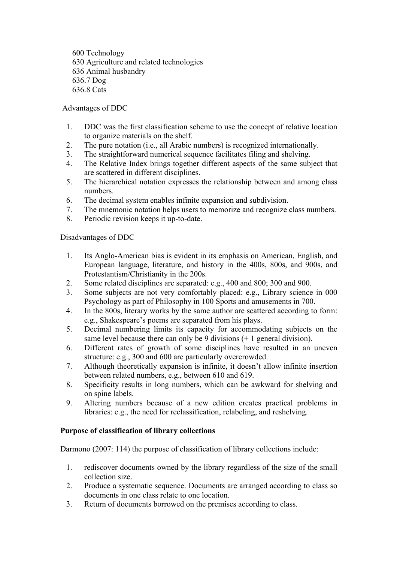600 Technology 630 Agriculture and related technologies 636 Animal husbandry 636.7 Dog 636.8 Cats

Advantages of DDC

- 1. DDC was the first classification scheme to use the concept of relative location to organize materials on the shelf.
- 2. The pure notation (i.e., all Arabic numbers) is recognized internationally.
- 3. The straightforward numerical sequence facilitates filing and shelving.
- 4. The Relative Index brings together different aspects of the same subject that are scattered in different disciplines.
- 5. The hierarchical notation expresses the relationship between and among class numbers.
- 6. The decimal system enables infinite expansion and subdivision.
- 7. The mnemonic notation helps users to memorize and recognize class numbers.
- 8. Periodic revision keeps it up-to-date.

Disadvantages of DDC

- 1. Its Anglo-American bias is evident in its emphasis on American, English, and European language, literature, and history in the 400s, 800s, and 900s, and Protestantism/Christianity in the 200s.
- 2. Some related disciplines are separated: e.g., 400 and 800; 300 and 900.
- 3. Some subjects are not very comfortably placed: e.g., Library science in 000 Psychology as part of Philosophy in 100 Sports and amusements in 700.
- 4. In the 800s, literary works by the same author are scattered according to form: e.g., Shakespeare's poems are separated from his plays.
- 5. Decimal numbering limits its capacity for accommodating subjects on the same level because there can only be 9 divisions (+ 1 general division).
- 6. Different rates of growth of some disciplines have resulted in an uneven structure: e.g., 300 and 600 are particularly overcrowded.
- 7. Although theoretically expansion is infinite, it doesn't allow infinite insertion between related numbers, e.g., between 610 and 619.
- 8. Specificity results in long numbers, which can be awkward for shelving and on spine labels.
- 9. Altering numbers because of a new edition creates practical problems in libraries: e.g., the need for reclassification, relabeling, and reshelving.

# **Purpose of classification of library collections**

Darmono (2007: 114) the purpose of classification of library collections include:

- 1. rediscover documents owned by the library regardless of the size of the small collection size.
- 2. Produce a systematic sequence. Documents are arranged according to class so documents in one class relate to one location.
- 3. Return of documents borrowed on the premises according to class.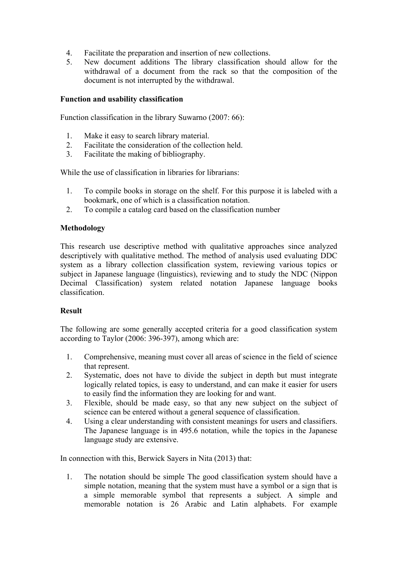- 4. Facilitate the preparation and insertion of new collections.
- 5. New document additions The library classification should allow for the withdrawal of a document from the rack so that the composition of the document is not interrupted by the withdrawal.

# **Function and usability classification**

Function classification in the library Suwarno (2007: 66):

- 1. Make it easy to search library material.
- 2. Facilitate the consideration of the collection held.
- 3. Facilitate the making of bibliography.

While the use of classification in libraries for librarians:

- 1. To compile books in storage on the shelf. For this purpose it is labeled with a bookmark, one of which is a classification notation.
- 2. To compile a catalog card based on the classification number

# **Methodology**

This research use descriptive method with qualitative approaches since analyzed descriptively with qualitative method. The method of analysis used evaluating DDC system as a library collection classification system, reviewing various topics or subject in Japanese language (linguistics), reviewing and to study the NDC (Nippon Decimal Classification) system related notation Japanese language books classification.

#### **Result**

The following are some generally accepted criteria for a good classification system according to Taylor (2006: 396-397), among which are:

- 1. Comprehensive, meaning must cover all areas of science in the field of science that represent.
- 2. Systematic, does not have to divide the subject in depth but must integrate logically related topics, is easy to understand, and can make it easier for users to easily find the information they are looking for and want.
- 3. Flexible, should be made easy, so that any new subject on the subject of science can be entered without a general sequence of classification.
- 4. Using a clear understanding with consistent meanings for users and classifiers. The Japanese language is in 495.6 notation, while the topics in the Japanese language study are extensive.

In connection with this, Berwick Sayers in Nita (2013) that:

1. The notation should be simple The good classification system should have a simple notation, meaning that the system must have a symbol or a sign that is a simple memorable symbol that represents a subject. A simple and memorable notation is 26 Arabic and Latin alphabets. For example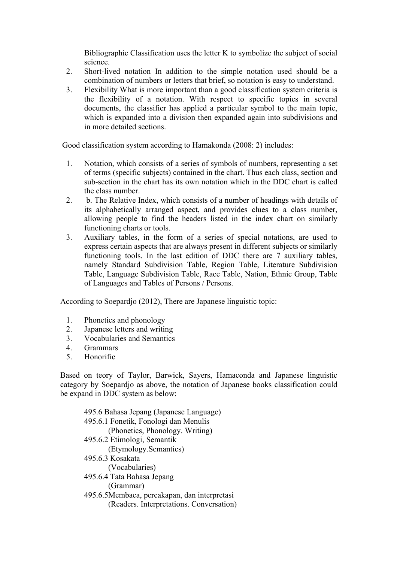Bibliographic Classification uses the letter K to symbolize the subject of social science.

- 2. Short-lived notation In addition to the simple notation used should be a combination of numbers or letters that brief, so notation is easy to understand.
- 3. Flexibility What is more important than a good classification system criteria is the flexibility of a notation. With respect to specific topics in several documents, the classifier has applied a particular symbol to the main topic, which is expanded into a division then expanded again into subdivisions and in more detailed sections.

Good classification system according to Hamakonda (2008: 2) includes:

- 1. Notation, which consists of a series of symbols of numbers, representing a set of terms (specific subjects) contained in the chart. Thus each class, section and sub-section in the chart has its own notation which in the DDC chart is called the class number.
- 2. b. The Relative Index, which consists of a number of headings with details of its alphabetically arranged aspect, and provides clues to a class number, allowing people to find the headers listed in the index chart on similarly functioning charts or tools.
- 3. Auxiliary tables, in the form of a series of special notations, are used to express certain aspects that are always present in different subjects or similarly functioning tools. In the last edition of DDC there are 7 auxiliary tables, namely Standard Subdivision Table, Region Table, Literature Subdivision Table, Language Subdivision Table, Race Table, Nation, Ethnic Group, Table of Languages and Tables of Persons / Persons.

According to Soepardjo (2012), There are Japanese linguistic topic:

- 1. Phonetics and phonology
- 2. Japanese letters and writing
- 3. Vocabularies and Semantics
- 4. Grammars
- 5. Honorific

Based on teory of Taylor, Barwick, Sayers, Hamaconda and Japanese linguistic category by Soepardjo as above, the notation of Japanese books classification could be expand in DDC system as below:

| 495.6 Bahasa Jepang (Japanese Language)      |
|----------------------------------------------|
| 495.6.1 Fonetik, Fonologi dan Menulis        |
| (Phonetics, Phonology. Writing)              |
| 495.6.2 Etimologi, Semantik                  |
| (Etymology.Semantics)                        |
| 495.6.3 Kosakata                             |
| (Vocabularies)                               |
| 495.6.4 Tata Bahasa Jepang                   |
| (Grammar)                                    |
| 495.6.5Membaca, percakapan, dan interpretasi |
| (Readers. Interpretations. Conversation)     |
|                                              |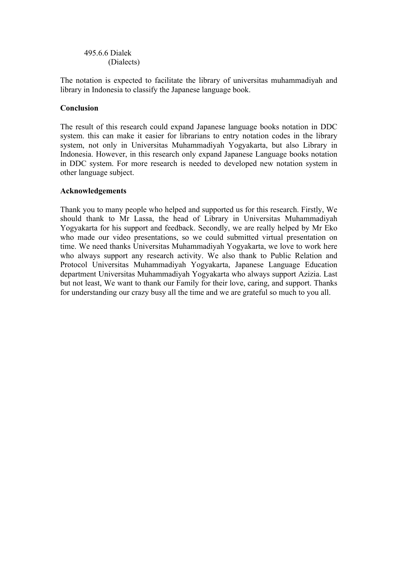495.6.6 Dialek (Dialects)

The notation is expected to facilitate the library of universitas muhammadiyah and library in Indonesia to classify the Japanese language book.

# **Conclusion**

The result of this research could expand Japanese language books notation in DDC system. this can make it easier for librarians to entry notation codes in the library system, not only in Universitas Muhammadiyah Yogyakarta, but also Library in Indonesia. However, in this research only expand Japanese Language books notation in DDC system. For more research is needed to developed new notation system in other language subject.

# **Acknowledgements**

Thank you to many people who helped and supported us for this research. Firstly, We should thank to Mr Lassa, the head of Library in Universitas Muhammadiyah Yogyakarta for his support and feedback. Secondly, we are really helped by Mr Eko who made our video presentations, so we could submitted virtual presentation on time. We need thanks Universitas Muhammadiyah Yogyakarta, we love to work here who always support any research activity. We also thank to Public Relation and Protocol Universitas Muhammadiyah Yogyakarta, Japanese Language Education department Universitas Muhammadiyah Yogyakarta who always support Azizia. Last but not least, We want to thank our Family for their love, caring, and support. Thanks for understanding our crazy busy all the time and we are grateful so much to you all.